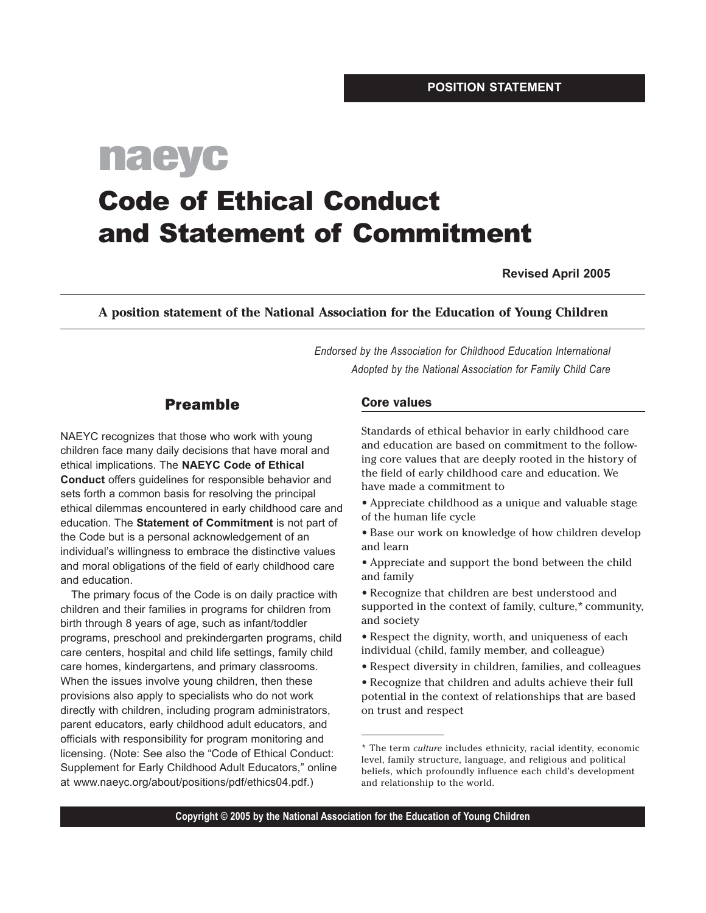# Code of Ethical Conduct and Statement of Commitment naeyc

**Revised April 2005**

**A position statement of the National Association for the Education of Young Children**

*Endorsed by the Association for Childhood Education International Adopted by the National Association for Family Child Care*

# Preamble

NAEYC recognizes that those who work with young children face many daily decisions that have moral and ethical implications. The **NAEYC Code of Ethical Conduct** offers guidelines for responsible behavior and sets forth a common basis for resolving the principal ethical dilemmas encountered in early childhood care and education. The **Statement of Commitment** is not part of the Code but is a personal acknowledgement of an individual's willingness to embrace the distinctive values and moral obligations of the field of early childhood care and education.

The primary focus of the Code is on daily practice with children and their families in programs for children from birth through 8 years of age, such as infant/toddler programs, preschool and prekindergarten programs, child care centers, hospital and child life settings, family child care homes, kindergartens, and primary classrooms. When the issues involve young children, then these provisions also apply to specialists who do not work directly with children, including program administrators, parent educators, early childhood adult educators, and officials with responsibility for program monitoring and licensing. (Note: See also the "Code of Ethical Conduct: Supplement for Early Childhood Adult Educators," online at www.naeyc.org/about/positions/pdf/ethics04.pdf.)

## Core values

Standards of ethical behavior in early childhood care and education are based on commitment to the following core values that are deeply rooted in the history of the field of early childhood care and education. We have made a commitment to

- **•** Appreciate childhood as a unique and valuable stage of the human life cycle
- **•** Base our work on knowledge of how children develop and learn
- **•** Appreciate and support the bond between the child and family
- **•** Recognize that children are best understood and supported in the context of family, culture,\* community, and society
- **•** Respect the dignity, worth, and uniqueness of each individual (child, family member, and colleague)
- **•** Respect diversity in children, families, and colleagues
- **•** Recognize that children and adults achieve their full potential in the context of relationships that are based on trust and respect

<sup>\*</sup> The term *culture* includes ethnicity, racial identity, economic level, family structure, language, and religious and political beliefs, which profoundly influence each child's development and relationship to the world.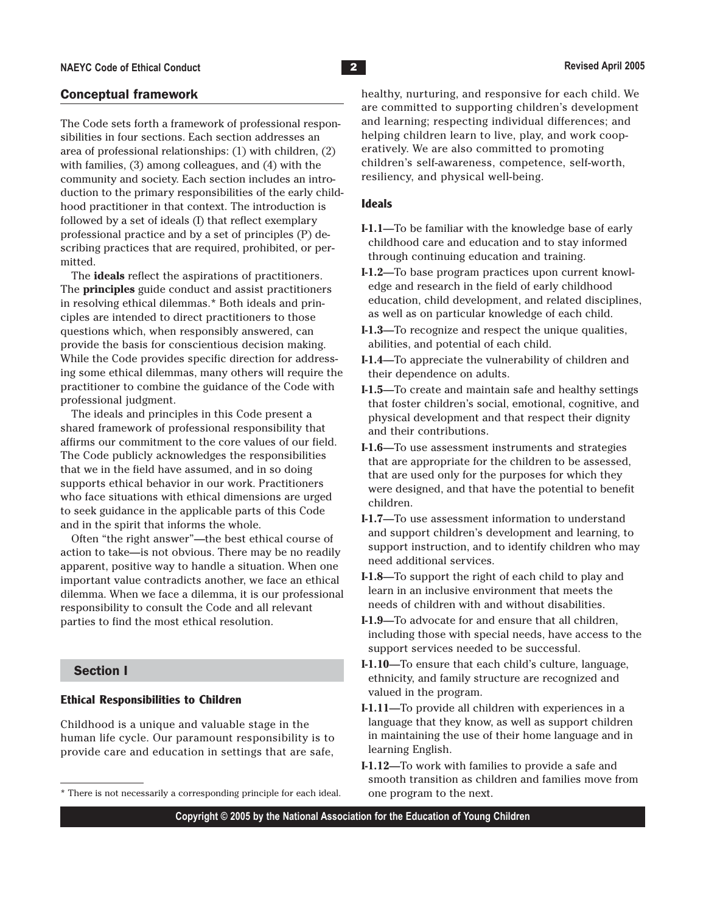#### Conceptual framework

The Code sets forth a framework of professional responsibilities in four sections. Each section addresses an area of professional relationships: (1) with children, (2) with families, (3) among colleagues, and (4) with the community and society. Each section includes an introduction to the primary responsibilities of the early childhood practitioner in that context. The introduction is followed by a set of ideals (I) that reflect exemplary professional practice and by a set of principles (P) describing practices that are required, prohibited, or permitted.

The **ideals** reflect the aspirations of practitioners. The **principles** guide conduct and assist practitioners in resolving ethical dilemmas.\* Both ideals and principles are intended to direct practitioners to those questions which, when responsibly answered, can provide the basis for conscientious decision making. While the Code provides specific direction for addressing some ethical dilemmas, many others will require the practitioner to combine the guidance of the Code with professional judgment.

The ideals and principles in this Code present a shared framework of professional responsibility that affirms our commitment to the core values of our field. The Code publicly acknowledges the responsibilities that we in the field have assumed, and in so doing supports ethical behavior in our work. Practitioners who face situations with ethical dimensions are urged to seek guidance in the applicable parts of this Code and in the spirit that informs the whole.

Often "the right answer"—the best ethical course of action to take—is not obvious. There may be no readily apparent, positive way to handle a situation. When one important value contradicts another, we face an ethical dilemma. When we face a dilemma, it is our professional responsibility to consult the Code and all relevant parties to find the most ethical resolution.

#### Section I

#### **Ethical Responsibilities to Children**

Childhood is a unique and valuable stage in the human life cycle. Our paramount responsibility is to provide care and education in settings that are safe,

healthy, nurturing, and responsive for each child. We are committed to supporting children's development and learning; respecting individual differences; and helping children learn to live, play, and work cooperatively. We are also committed to promoting children's self-awareness, competence, self-worth, resiliency, and physical well-being.

#### **Ideals**

- **I-1.1**—To be familiar with the knowledge base of early childhood care and education and to stay informed through continuing education and training.
- **I-1.2**—To base program practices upon current knowledge and research in the field of early childhood education, child development, and related disciplines, as well as on particular knowledge of each child.
- **I-1.3**—To recognize and respect the unique qualities, abilities, and potential of each child.
- **I-1.4**—To appreciate the vulnerability of children and their dependence on adults.
- **I-1.5**—To create and maintain safe and healthy settings that foster children's social, emotional, cognitive, and physical development and that respect their dignity and their contributions.
- **I-1.6**—To use assessment instruments and strategies that are appropriate for the children to be assessed, that are used only for the purposes for which they were designed, and that have the potential to benefit children.
- **I-1.7**—To use assessment information to understand and support children's development and learning, to support instruction, and to identify children who may need additional services.
- **I-1.8**—To support the right of each child to play and learn in an inclusive environment that meets the needs of children with and without disabilities.
- **I-1.9**—To advocate for and ensure that all children, including those with special needs, have access to the support services needed to be successful.
- **I-1.10**—To ensure that each child's culture, language, ethnicity, and family structure are recognized and valued in the program.
- **I-1.11**—To provide all children with experiences in a language that they know, as well as support children in maintaining the use of their home language and in learning English.
- **I-1.12**—To work with families to provide a safe and smooth transition as children and families move from

**Copyright © 2005 by the National Association for the Education of Young Children**

<sup>\*</sup> There is not necessarily a corresponding principle for each ideal. one program to the next.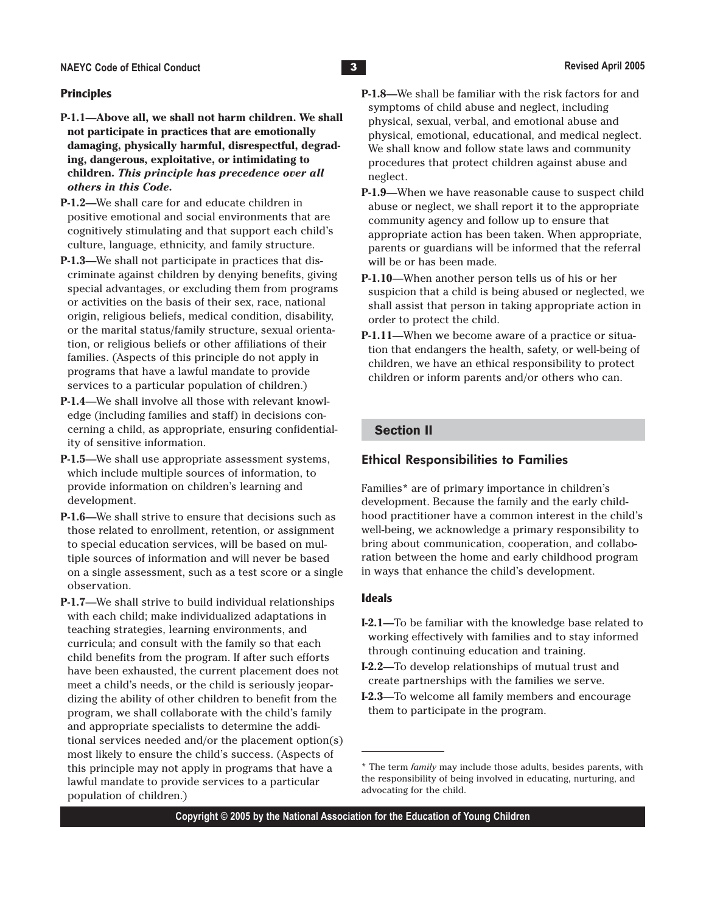#### **Principles**

- **P-1.1**—**Above all, we shall not harm children. We shall not participate in practices that are emotionally damaging, physically harmful, disrespectful, degrading, dangerous, exploitative, or intimidating to children.** *This principle has precedence over all others in this Code***.**
- **P-1.2**—We shall care for and educate children in positive emotional and social environments that are cognitively stimulating and that support each child's culture, language, ethnicity, and family structure.
- **P-1.3**—We shall not participate in practices that discriminate against children by denying benefits, giving special advantages, or excluding them from programs or activities on the basis of their sex, race, national origin, religious beliefs, medical condition, disability, or the marital status/family structure, sexual orientation, or religious beliefs or other affiliations of their families. (Aspects of this principle do not apply in programs that have a lawful mandate to provide services to a particular population of children.)
- **P-1.4**—We shall involve all those with relevant knowledge (including families and staff) in decisions concerning a child, as appropriate, ensuring confidentiality of sensitive information.
- **P-1.5**—We shall use appropriate assessment systems, which include multiple sources of information, to provide information on children's learning and development.
- **P-1.6**—We shall strive to ensure that decisions such as those related to enrollment, retention, or assignment to special education services, will be based on multiple sources of information and will never be based on a single assessment, such as a test score or a single observation.
- **P-1.7**—We shall strive to build individual relationships with each child; make individualized adaptations in teaching strategies, learning environments, and curricula; and consult with the family so that each child benefits from the program. If after such efforts have been exhausted, the current placement does not meet a child's needs, or the child is seriously jeopardizing the ability of other children to benefit from the program, we shall collaborate with the child's family and appropriate specialists to determine the additional services needed and/or the placement option(s) most likely to ensure the child's success. (Aspects of this principle may not apply in programs that have a lawful mandate to provide services to a particular population of children.)
- **P-1.8**—We shall be familiar with the risk factors for and symptoms of child abuse and neglect, including physical, sexual, verbal, and emotional abuse and physical, emotional, educational, and medical neglect. We shall know and follow state laws and community procedures that protect children against abuse and neglect.
- **P-1.9**—When we have reasonable cause to suspect child abuse or neglect, we shall report it to the appropriate community agency and follow up to ensure that appropriate action has been taken. When appropriate, parents or guardians will be informed that the referral will be or has been made.
- **P-1.10**—When another person tells us of his or her suspicion that a child is being abused or neglected, we shall assist that person in taking appropriate action in order to protect the child.
- **P-1.11**—When we become aware of a practice or situation that endangers the health, safety, or well-being of children, we have an ethical responsibility to protect children or inform parents and/or others who can.

# Section II

# Ethical Responsibilities to Families

Families\* are of primary importance in children's development. Because the family and the early childhood practitioner have a common interest in the child's well-being, we acknowledge a primary responsibility to bring about communication, cooperation, and collaboration between the home and early childhood program in ways that enhance the child's development.

#### **Ideals**

- **I-2.1**—To be familiar with the knowledge base related to working effectively with families and to stay informed through continuing education and training.
- **I-2.2**—To develop relationships of mutual trust and create partnerships with the families we serve.
- **I-2.3**—To welcome all family members and encourage them to participate in the program.

**Copyright © 2005 by the National Association for the Education of Young Children**



<sup>\*</sup> The term *family* may include those adults, besides parents, with the responsibility of being involved in educating, nurturing, and advocating for the child.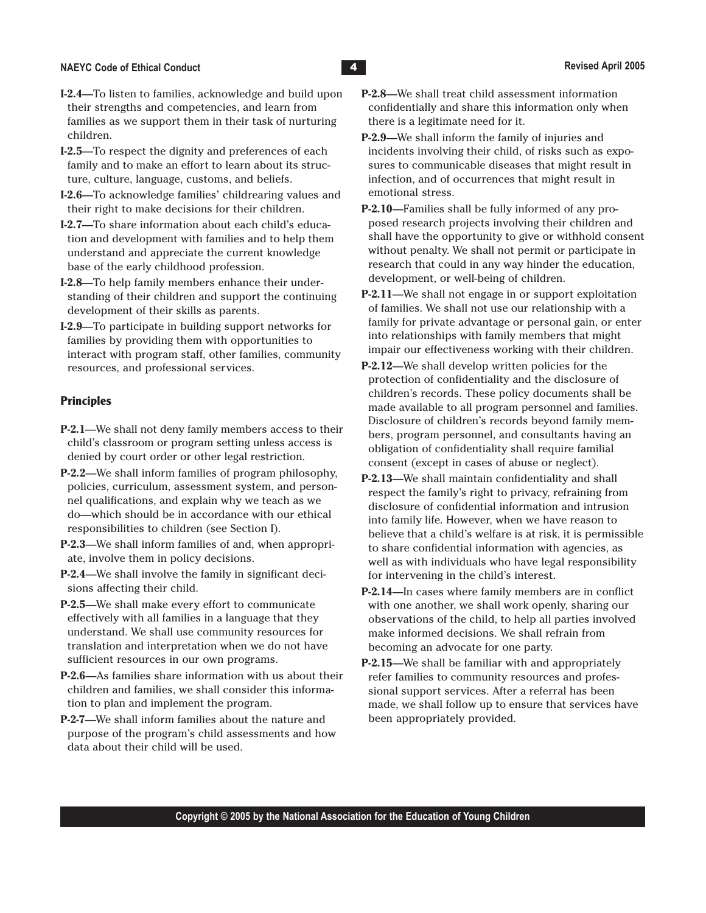#### **NAEYC Code of Ethical Conduct** 4 **Revised April 2005**



- **I-2.4**—To listen to families, acknowledge and build upon their strengths and competencies, and learn from families as we support them in their task of nurturing children.
- **I-2.5**—To respect the dignity and preferences of each family and to make an effort to learn about its structure, culture, language, customs, and beliefs.
- **I-2.6**—To acknowledge families' childrearing values and their right to make decisions for their children.
- **I-2.7**—To share information about each child's education and development with families and to help them understand and appreciate the current knowledge base of the early childhood profession.
- **I-2.8**—To help family members enhance their understanding of their children and support the continuing development of their skills as parents.
- **I-2.9**—To participate in building support networks for families by providing them with opportunities to interact with program staff, other families, community resources, and professional services.

#### **Principles**

- **P-2.1**—We shall not deny family members access to their child's classroom or program setting unless access is denied by court order or other legal restriction.
- **P-2.2**—We shall inform families of program philosophy, policies, curriculum, assessment system, and personnel qualifications, and explain why we teach as we do—which should be in accordance with our ethical responsibilities to children (see Section I).
- **P-2.3**—We shall inform families of and, when appropriate, involve them in policy decisions.
- **P-2.4**—We shall involve the family in significant decisions affecting their child.
- **P-2.5**—We shall make every effort to communicate effectively with all families in a language that they understand. We shall use community resources for translation and interpretation when we do not have sufficient resources in our own programs.
- **P-2.6**—As families share information with us about their children and families, we shall consider this information to plan and implement the program.
- **P-2-7**—We shall inform families about the nature and purpose of the program's child assessments and how data about their child will be used.
- **P-2.8**—We shall treat child assessment information confidentially and share this information only when there is a legitimate need for it.
- **P-2.9**—We shall inform the family of injuries and incidents involving their child, of risks such as exposures to communicable diseases that might result in infection, and of occurrences that might result in emotional stress.
- **P-2.10**—Families shall be fully informed of any proposed research projects involving their children and shall have the opportunity to give or withhold consent without penalty. We shall not permit or participate in research that could in any way hinder the education, development, or well-being of children.
- **P-2.11**—We shall not engage in or support exploitation of families. We shall not use our relationship with a family for private advantage or personal gain, or enter into relationships with family members that might impair our effectiveness working with their children.
- **P-2.12**—We shall develop written policies for the protection of confidentiality and the disclosure of children's records. These policy documents shall be made available to all program personnel and families. Disclosure of children's records beyond family members, program personnel, and consultants having an obligation of confidentiality shall require familial consent (except in cases of abuse or neglect).
- **P-2.13**—We shall maintain confidentiality and shall respect the family's right to privacy, refraining from disclosure of confidential information and intrusion into family life. However, when we have reason to believe that a child's welfare is at risk, it is permissible to share confidential information with agencies, as well as with individuals who have legal responsibility for intervening in the child's interest.
- **P-2.14**—In cases where family members are in conflict with one another, we shall work openly, sharing our observations of the child, to help all parties involved make informed decisions. We shall refrain from becoming an advocate for one party.
- **P-2.15**—We shall be familiar with and appropriately refer families to community resources and professional support services. After a referral has been made, we shall follow up to ensure that services have been appropriately provided.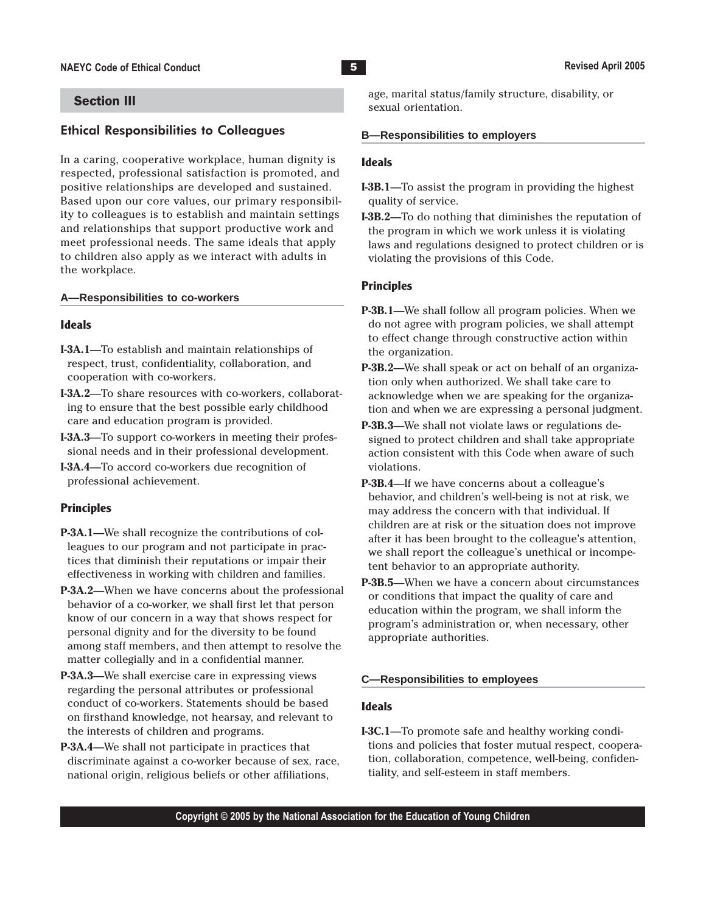# Section III

# Ethical Responsibilities to Colleagues

In a caring, cooperative workplace, human dignity is respected, professional satisfaction is promoted, and positive relationships are developed and sustained. Based upon our core values, our primary responsibility to colleagues is to establish and maintain settings and relationships that support productive work and meet professional needs. The same ideals that apply to children also apply as we interact with adults in the workplace.

#### **A—Responsibilities to co-workers**

#### **Ideals**

- **I-3A.1**—To establish and maintain relationships of respect, trust, confidentiality, collaboration, and cooperation with co-workers.
- **I-3A.2**—To share resources with co-workers, collaborating to ensure that the best possible early childhood care and education program is provided.
- **I-3A.3**—To support co-workers in meeting their professional needs and in their professional development.
- **I-3A.4**—To accord co-workers due recognition of professional achievement.

#### **Principles**

- **P-3A.1**—We shall recognize the contributions of colleagues to our program and not participate in practices that diminish their reputations or impair their effectiveness in working with children and families.
- **P-3A.2**—When we have concerns about the professional behavior of a co-worker, we shall first let that person know of our concern in a way that shows respect for personal dignity and for the diversity to be found among staff members, and then attempt to resolve the matter collegially and in a confidential manner.
- **P-3A.3**—We shall exercise care in expressing views regarding the personal attributes or professional conduct of co-workers. Statements should be based on firsthand knowledge, not hearsay, and relevant to the interests of children and programs.
- **P-3A.4**—We shall not participate in practices that discriminate against a co-worker because of sex, race, national origin, religious beliefs or other affiliations,

age, marital status/family structure, disability, or sexual orientation.

#### **B—Responsibilities to employers**

#### **Ideals**

- **I-3B.1**—To assist the program in providing the highest quality of service.
- **I-3B.2**—To do nothing that diminishes the reputation of the program in which we work unless it is violating laws and regulations designed to protect children or is violating the provisions of this Code.

#### **Principles**

- **P-3B.1**—We shall follow all program policies. When we do not agree with program policies, we shall attempt to effect change through constructive action within the organization.
- **P-3B.2**—We shall speak or act on behalf of an organization only when authorized. We shall take care to acknowledge when we are speaking for the organization and when we are expressing a personal judgment.
- **P-3B.3**—We shall not violate laws or regulations designed to protect children and shall take appropriate action consistent with this Code when aware of such violations.
- **P-3B.4**—If we have concerns about a colleague's behavior, and children's well-being is not at risk, we may address the concern with that individual. If children are at risk or the situation does not improve after it has been brought to the colleague's attention, we shall report the colleague's unethical or incompetent behavior to an appropriate authority.
- **P-3B.5**—When we have a concern about circumstances or conditions that impact the quality of care and education within the program, we shall inform the program's administration or, when necessary, other appropriate authorities.

#### **C—Responsibilities to employees**

#### **Ideals**

**I-3C.1**—To promote safe and healthy working conditions and policies that foster mutual respect, cooperation, collaboration, competence, well-being, confidentiality, and self-esteem in staff members.

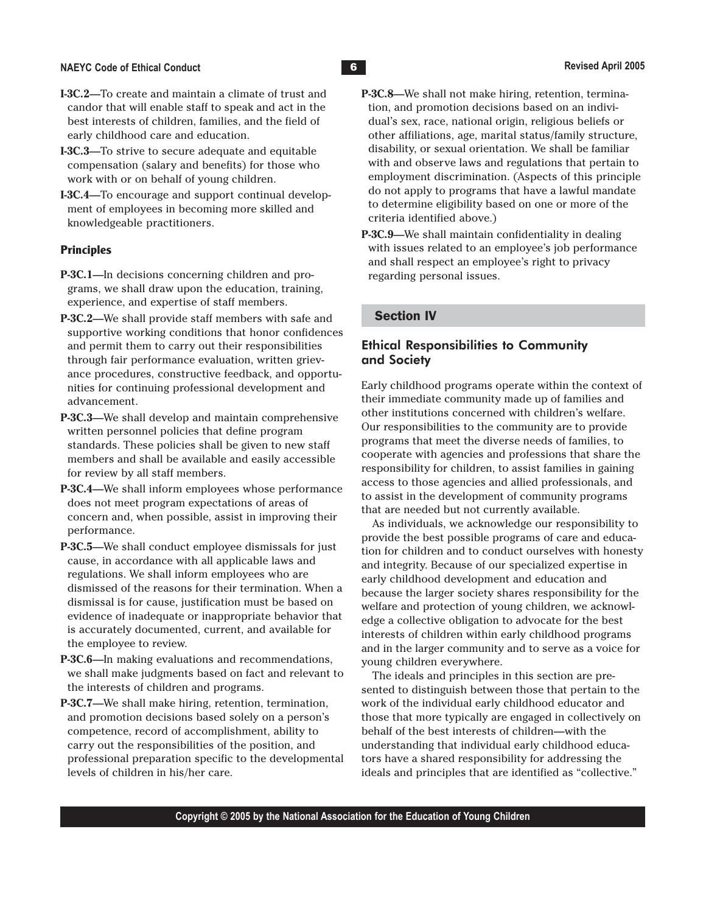#### **NAEYC Code of Ethical Conduct 6 <b>Revised April 2005 Revised April 2005**

- **I-3C.2**—To create and maintain a climate of trust and candor that will enable staff to speak and act in the best interests of children, families, and the field of early childhood care and education.
- **I-3C.3**—To strive to secure adequate and equitable compensation (salary and benefits) for those who work with or on behalf of young children.
- **I-3C.4**—To encourage and support continual development of employees in becoming more skilled and knowledgeable practitioners.

#### **Principles**

- **P-3C.1**—In decisions concerning children and programs, we shall draw upon the education, training, experience, and expertise of staff members.
- **P-3C.2**—We shall provide staff members with safe and supportive working conditions that honor confidences and permit them to carry out their responsibilities through fair performance evaluation, written grievance procedures, constructive feedback, and opportunities for continuing professional development and advancement.
- **P-3C.3**—We shall develop and maintain comprehensive written personnel policies that define program standards. These policies shall be given to new staff members and shall be available and easily accessible for review by all staff members.
- **P-3C.4**—We shall inform employees whose performance does not meet program expectations of areas of concern and, when possible, assist in improving their performance.
- **P-3C.5**—We shall conduct employee dismissals for just cause, in accordance with all applicable laws and regulations. We shall inform employees who are dismissed of the reasons for their termination. When a dismissal is for cause, justification must be based on evidence of inadequate or inappropriate behavior that is accurately documented, current, and available for the employee to review.
- **P-3C.6**—In making evaluations and recommendations, we shall make judgments based on fact and relevant to the interests of children and programs.
- **P-3C.7**—We shall make hiring, retention, termination, and promotion decisions based solely on a person's competence, record of accomplishment, ability to carry out the responsibilities of the position, and professional preparation specific to the developmental levels of children in his/her care.
- **P-3C.8**—We shall not make hiring, retention, termination, and promotion decisions based on an individual's sex, race, national origin, religious beliefs or other affiliations, age, marital status/family structure, disability, or sexual orientation. We shall be familiar with and observe laws and regulations that pertain to employment discrimination. (Aspects of this principle do not apply to programs that have a lawful mandate to determine eligibility based on one or more of the criteria identified above.)
- **P-3C.9**—We shall maintain confidentiality in dealing with issues related to an employee's job performance and shall respect an employee's right to privacy regarding personal issues.

# Section IV

# Ethical Responsibilities to Community and Society

Early childhood programs operate within the context of their immediate community made up of families and other institutions concerned with children's welfare. Our responsibilities to the community are to provide programs that meet the diverse needs of families, to cooperate with agencies and professions that share the responsibility for children, to assist families in gaining access to those agencies and allied professionals, and to assist in the development of community programs that are needed but not currently available.

As individuals, we acknowledge our responsibility to provide the best possible programs of care and education for children and to conduct ourselves with honesty and integrity. Because of our specialized expertise in early childhood development and education and because the larger society shares responsibility for the welfare and protection of young children, we acknowledge a collective obligation to advocate for the best interests of children within early childhood programs and in the larger community and to serve as a voice for young children everywhere.

The ideals and principles in this section are presented to distinguish between those that pertain to the work of the individual early childhood educator and those that more typically are engaged in collectively on behalf of the best interests of children—with the understanding that individual early childhood educators have a shared responsibility for addressing the ideals and principles that are identified as "collective."

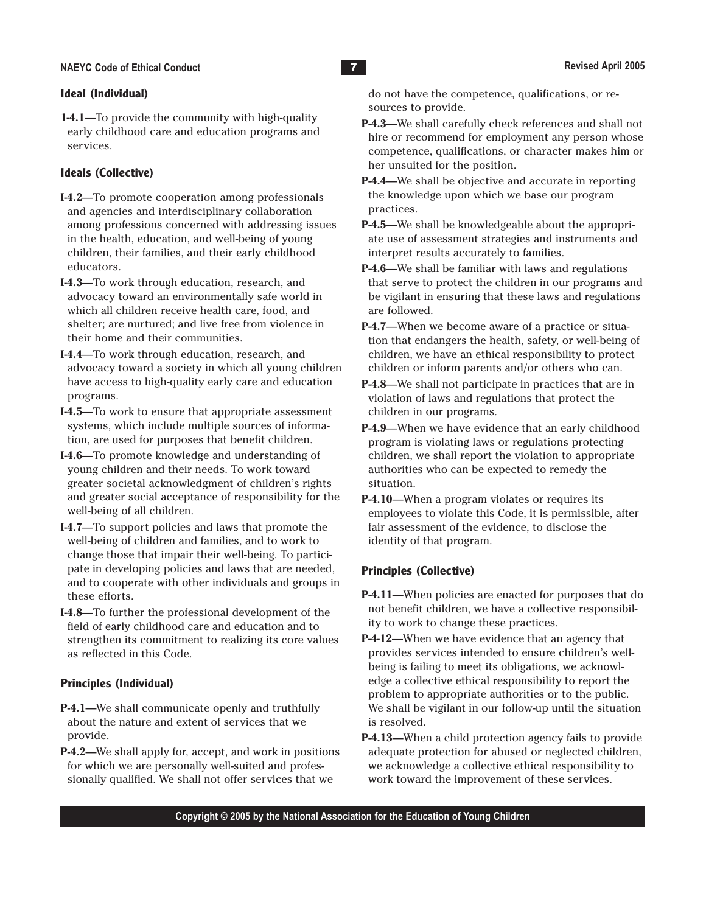#### **NAEYC Code of Ethical Conduct 18 <b>Revised April 2005 Revised April 2005 Revised April 2005**

#### **Ideal (Individual)**

**1-4.1**—To provide the community with high-quality early childhood care and education programs and services.

#### **Ideals (Collective)**

- **I-4.2**—To promote cooperation among professionals and agencies and interdisciplinary collaboration among professions concerned with addressing issues in the health, education, and well-being of young children, their families, and their early childhood educators.
- **I-4.3**—To work through education, research, and advocacy toward an environmentally safe world in which all children receive health care, food, and shelter; are nurtured; and live free from violence in their home and their communities.
- **I-4.4**—To work through education, research, and advocacy toward a society in which all young children have access to high-quality early care and education programs.
- **I-4.5**—To work to ensure that appropriate assessment systems, which include multiple sources of information, are used for purposes that benefit children.
- **I-4.6**—To promote knowledge and understanding of young children and their needs. To work toward greater societal acknowledgment of children's rights and greater social acceptance of responsibility for the well-being of all children.
- **I-4.7**—To support policies and laws that promote the well-being of children and families, and to work to change those that impair their well-being. To participate in developing policies and laws that are needed, and to cooperate with other individuals and groups in these efforts.
- **I-4.8**—To further the professional development of the field of early childhood care and education and to strengthen its commitment to realizing its core values as reflected in this Code.

#### **Principles (Individual)**

- **P-4.1**—We shall communicate openly and truthfully about the nature and extent of services that we provide.
- **P-4.2**—We shall apply for, accept, and work in positions for which we are personally well-suited and professionally qualified. We shall not offer services that we

do not have the competence, qualifications, or resources to provide.

- **P-4.3**—We shall carefully check references and shall not hire or recommend for employment any person whose competence, qualifications, or character makes him or her unsuited for the position.
- **P-4.4**—We shall be objective and accurate in reporting the knowledge upon which we base our program practices.
- **P-4.5**—We shall be knowledgeable about the appropriate use of assessment strategies and instruments and interpret results accurately to families.
- **P-4.6**—We shall be familiar with laws and regulations that serve to protect the children in our programs and be vigilant in ensuring that these laws and regulations are followed.
- **P-4.7**—When we become aware of a practice or situation that endangers the health, safety, or well-being of children, we have an ethical responsibility to protect children or inform parents and/or others who can.
- **P-4.8**—We shall not participate in practices that are in violation of laws and regulations that protect the children in our programs.
- **P-4.9**—When we have evidence that an early childhood program is violating laws or regulations protecting children, we shall report the violation to appropriate authorities who can be expected to remedy the situation.
- **P-4.10**—When a program violates or requires its employees to violate this Code, it is permissible, after fair assessment of the evidence, to disclose the identity of that program.

#### **Principles (Collective)**

- **P-4.11**—When policies are enacted for purposes that do not benefit children, we have a collective responsibility to work to change these practices.
- **P-4-12**—When we have evidence that an agency that provides services intended to ensure children's wellbeing is failing to meet its obligations, we acknowledge a collective ethical responsibility to report the problem to appropriate authorities or to the public. We shall be vigilant in our follow-up until the situation is resolved.
- **P-4.13**—When a child protection agency fails to provide adequate protection for abused or neglected children, we acknowledge a collective ethical responsibility to work toward the improvement of these services.

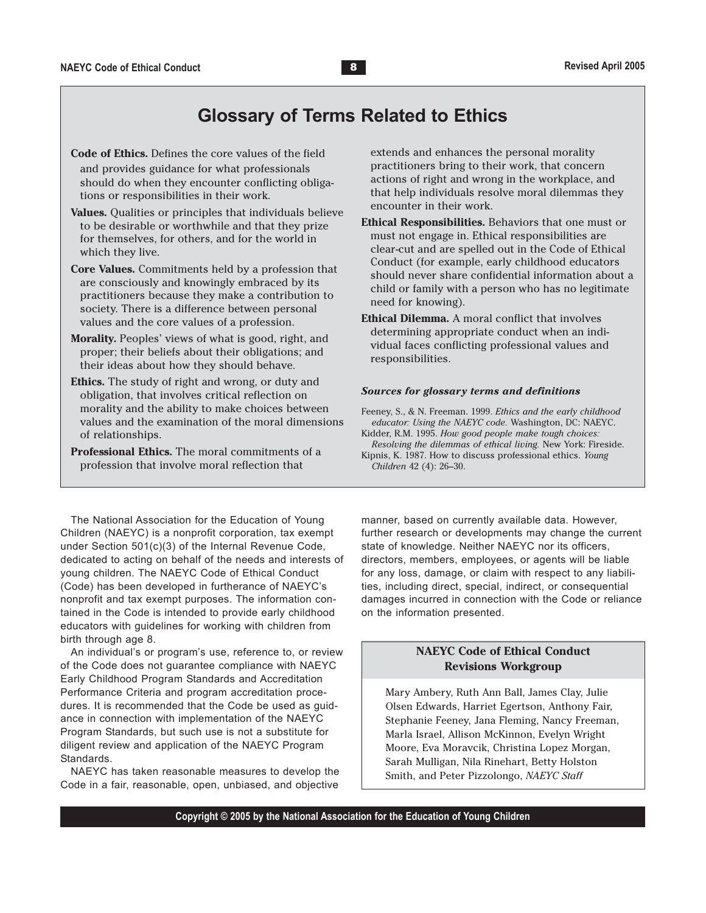# **Glossary of Terms Related to Ethics**

- **Code of Ethics.** Defines the core values of the field and provides guidance for what professionals should do when they encounter conflicting obligations or responsibilities in their work.
- **Values.** Qualities or principles that individuals believe to be desirable or worthwhile and that they prize for themselves, for others, and for the world in which they live.
- **Core Values.** Commitments held by a profession that are consciously and knowingly embraced by its practitioners because they make a contribution to society. There is a difference between personal values and the core values of a profession.
- **Morality.** Peoples' views of what is good, right, and proper; their beliefs about their obligations; and their ideas about how they should behave.
- **Ethics.** The study of right and wrong, or duty and obligation, that involves critical reflection on morality and the ability to make choices between values and the examination of the moral dimensions of relationships.
- **Professional Ethics.** The moral commitments of a profession that involve moral reflection that

The National Association for the Education of Young Children (NAEYC) is a nonprofit corporation, tax exempt under Section 501(c)(3) of the Internal Revenue Code, dedicated to acting on behalf of the needs and interests of young children. The NAEYC Code of Ethical Conduct (Code) has been developed in furtherance of NAEYC's nonprofit and tax exempt purposes. The information contained in the Code is intended to provide early childhood educators with guidelines for working with children from birth through age 8.

An individual's or program's use, reference to, or review of the Code does not guarantee compliance with NAEYC Early Childhood Program Standards and Accreditation Performance Criteria and program accreditation procedures. It is recommended that the Code be used as guidance in connection with implementation of the NAEYC Program Standards, but such use is not a substitute for diligent review and application of the NAEYC Program Standards.

NAEYC has taken reasonable measures to develop the Code in a fair, reasonable, open, unbiased, and objective

extends and enhances the personal morality practitioners bring to their work, that concern actions of right and wrong in the workplace, and that help individuals resolve moral dilemmas they encounter in their work.

- **Ethical Responsibilities.** Behaviors that one must or must not engage in. Ethical responsibilities are clear-cut and are spelled out in the Code of Ethical Conduct (for example, early childhood educators should never share confidential information about a child or family with a person who has no legitimate need for knowing).
- **Ethical Dilemma.** A moral conflict that involves determining appropriate conduct when an individual faces conflicting professional values and responsibilities.

#### *Sources for glossary terms and definitions*

Feeney, S., & N. Freeman. 1999. *Ethics and the early childhood educator: Using the NAEYC code.* Washington, DC: NAEYC. Kidder, R.M. 1995. *How good people make tough choices: Resolving the dilemmas of ethical living.* New York: Fireside.

Kipnis, K. 1987. How to discuss professional ethics. *Young Children* 42 (4): 26–30.

manner, based on currently available data. However, further research or developments may change the current state of knowledge. Neither NAEYC nor its officers, directors, members, employees, or agents will be liable for any loss, damage, or claim with respect to any liabilities, including direct, special, indirect, or consequential damages incurred in connection with the Code or reliance on the information presented.

#### **NAEYC Code of Ethical Conduct Revisions Workgroup**

Mary Ambery, Ruth Ann Ball, James Clay, Julie Olsen Edwards, Harriet Egertson, Anthony Fair, Stephanie Feeney, Jana Fleming, Nancy Freeman, Marla Israel, Allison McKinnon, Evelyn Wright Moore, Eva Moravcik, Christina Lopez Morgan, Sarah Mulligan, Nila Rinehart, Betty Holston Smith, and Peter Pizzolongo, *NAEYC Staff*

**Copyright © 2005 by the National Association for the Education of Young Children**